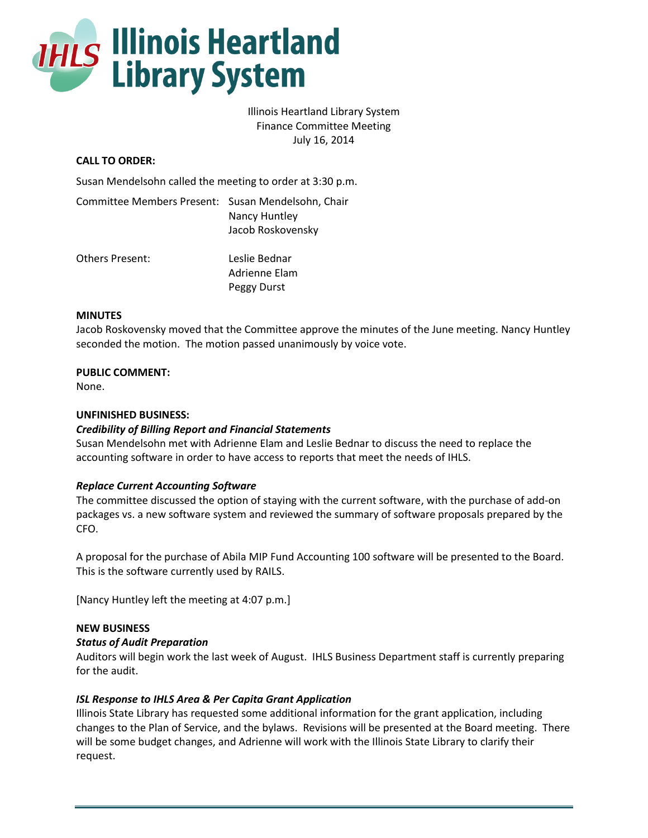

# Illinois Heartland Library System Finance Committee Meeting July 16, 2014

# **CALL TO ORDER:**

Susan Mendelsohn called the meeting to order at 3:30 p.m.

| Committee Members Present: Susan Mendelsohn, Chair | Nancy Huntley<br>Jacob Roskovensky |
|----------------------------------------------------|------------------------------------|
| Others Present:                                    | Leslie Bednar<br>Adrienne Elam     |

Peggy Durst

#### **MINUTES**

Jacob Roskovensky moved that the Committee approve the minutes of the June meeting. Nancy Huntley seconded the motion. The motion passed unanimously by voice vote.

### **PUBLIC COMMENT:**

None.

### **UNFINISHED BUSINESS:**

### *Credibility of Billing Report and Financial Statements*

Susan Mendelsohn met with Adrienne Elam and Leslie Bednar to discuss the need to replace the accounting software in order to have access to reports that meet the needs of IHLS.

### *Replace Current Accounting Software*

The committee discussed the option of staying with the current software, with the purchase of add-on packages vs. a new software system and reviewed the summary of software proposals prepared by the CFO.

A proposal for the purchase of Abila MIP Fund Accounting 100 software will be presented to the Board. This is the software currently used by RAILS.

[Nancy Huntley left the meeting at 4:07 p.m.]

### **NEW BUSINESS**

### *Status of Audit Preparation*

Auditors will begin work the last week of August. IHLS Business Department staff is currently preparing for the audit.

### *ISL Response to IHLS Area & Per Capita Grant Application*

Illinois State Library has requested some additional information for the grant application, including changes to the Plan of Service, and the bylaws. Revisions will be presented at the Board meeting. There will be some budget changes, and Adrienne will work with the Illinois State Library to clarify their request.